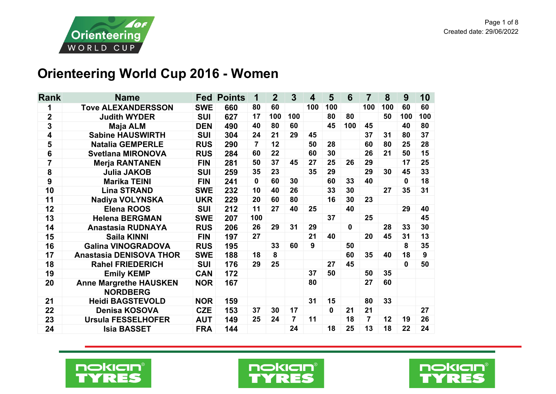

## **Orienteering World Cup 2016 - Women**

| <b>Rank</b> | <b>Name</b>                                      |            | <b>Fed Points</b> | 1              | $\mathbf{2}$ | $\overline{3}$ | $\overline{\mathbf{4}}$ | 5            | 6           | $\overline{7}$ | 8   | 9            | 10  |
|-------------|--------------------------------------------------|------------|-------------------|----------------|--------------|----------------|-------------------------|--------------|-------------|----------------|-----|--------------|-----|
| 1           | <b>Tove ALEXANDERSSON</b>                        | <b>SWE</b> | 660               | 80             | 60           |                | 100                     | 100          |             | 100            | 100 | 60           | 60  |
| $\mathbf 2$ | <b>Judith WYDER</b>                              | <b>SUI</b> | 627               | 17             | 100          | 100            |                         | 80           | 80          |                | 50  | 100          | 100 |
| 3           | <b>Maja ALM</b>                                  | <b>DEN</b> | 490               | 40             | 80           | 60             |                         | 45           | 100         | 45             |     | 40           | 80  |
| 4           | <b>Sabine HAUSWIRTH</b>                          | <b>SUI</b> | 304               | 24             | 21           | 29             | 45                      |              |             | 37             | 31  | 80           | 37  |
| 5           | <b>Natalia GEMPERLE</b>                          | <b>RUS</b> | 290               | $\overline{7}$ | 12           |                | 50                      | 28           |             | 60             | 80  | 25           | 28  |
| 6           | <b>Svetlana MIRONOVA</b>                         | <b>RUS</b> | 284               | 60             | 22           |                | 60                      | 30           |             | 26             | 21  | 50           | 15  |
| 7           | <b>Merja RANTANEN</b>                            | <b>FIN</b> | 281               | 50             | 37           | 45             | 27                      | 25           | 26          | 29             |     | 17           | 25  |
| ${\bf 8}$   | <b>Julia JAKOB</b>                               | <b>SUI</b> | 259               | 35             | 23           |                | 35                      | 29           |             | 29             | 30  | 45           | 33  |
| 9           | <b>Marika TEINI</b>                              | <b>FIN</b> | 241               | $\bf{0}$       | 60           | 30             |                         | 60           | 33          | 40             |     | $\mathbf{0}$ | 18  |
| 10          | <b>Lina STRAND</b>                               | <b>SWE</b> | 232               | 10             | 40           | 26             |                         | 33           | 30          |                | 27  | 35           | 31  |
| 11          | <b>Nadiya VOLYNSKA</b>                           | <b>UKR</b> | 229               | 20             | 60           | 80             |                         | 16           | 30          | 23             |     |              |     |
| 12          | <b>Elena ROOS</b>                                | <b>SUI</b> | 212               | 11             | 27           | 40             | 25                      |              | 40          |                |     | 29           | 40  |
| 13          | <b>Helena BERGMAN</b>                            | <b>SWE</b> | 207               | 100            |              |                |                         | 37           |             | 25             |     |              | 45  |
| 14          | Anastasia RUDNAYA                                | <b>RUS</b> | 206               | 26             | 29           | 31             | 29                      |              | $\mathbf 0$ |                | 28  | 33           | 30  |
| 15          | <b>Saila KINNI</b>                               | <b>FIN</b> | 197               | 27             |              |                | 21                      | 40           |             | 20             | 45  | 31           | 13  |
| 16          | <b>Galina VINOGRADOVA</b>                        | <b>RUS</b> | 195               |                | 33           | 60             | 9                       |              | 50          |                |     | 8            | 35  |
| 17          | <b>Anastasia DENISOVA THOR</b>                   | <b>SWE</b> | 188               | 18             | 8            |                |                         |              | 60          | 35             | 40  | 18           | 9   |
| 18          | <b>Rahel FRIEDERICH</b>                          | <b>SUI</b> | 176               | 29             | 25           |                |                         | 27           | 45          |                |     | 0            | 50  |
| 19          | <b>Emily KEMP</b>                                | <b>CAN</b> | 172               |                |              |                | 37                      | 50           |             | 50             | 35  |              |     |
| 20          | <b>Anne Margrethe HAUSKEN</b><br><b>NORDBERG</b> | <b>NOR</b> | 167               |                |              |                | 80                      |              |             | 27             | 60  |              |     |
| 21          | <b>Heidi BAGSTEVOLD</b>                          | <b>NOR</b> | 159               |                |              |                | 31                      | 15           |             | 80             | 33  |              |     |
| 22          | <b>Denisa KOSOVA</b>                             | <b>CZE</b> | 153               | 37             | 30           | 17             |                         | $\mathbf{0}$ | 21          | 21             |     |              | 27  |
| 23          | <b>Ursula FESSELHOFER</b>                        | <b>AUT</b> | 149               | 25             | 24           | 7              | 11                      |              | 18          | $\overline{7}$ | 12  | 19           | 26  |
| 24          | <b>Isia BASSET</b>                               | <b>FRA</b> | 144               |                |              | 24             |                         | 18           | 25          | 13             | 18  | 22           | 24  |





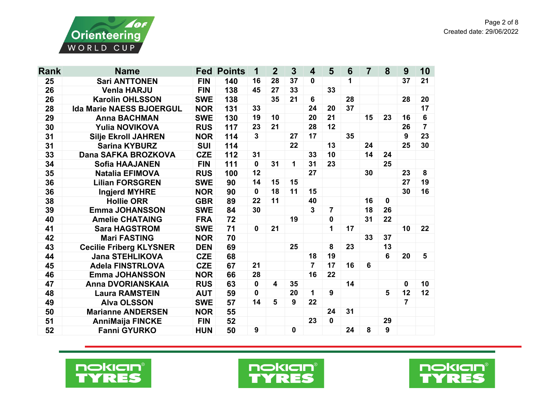

| <b>Rank</b> | <b>Name</b>                     | Fed        | <b>Points</b> | 1            | $\overline{2}$          | $\mathbf{3}$     | $\overline{\mathbf{4}}$ | 5              | $6\phantom{1}6$ | $\overline{7}$ | 8        | 9  | 10             |
|-------------|---------------------------------|------------|---------------|--------------|-------------------------|------------------|-------------------------|----------------|-----------------|----------------|----------|----|----------------|
| 25          | <b>Sari ANTTONEN</b>            | <b>FIN</b> | 140           | 16           | 28                      | 37               | 0                       |                | 1               |                |          | 37 | 21             |
| 26          | <b>Venla HARJU</b>              | <b>FIN</b> | 138           | 45           | 27                      | 33               |                         | 33             |                 |                |          |    |                |
| 26          | <b>Karolin OHLSSON</b>          | <b>SWE</b> | 138           |              | 35                      | 21               | 6                       |                | 28              |                |          | 28 | 20             |
| 28          | <b>Ida Marie NAESS BJOERGUL</b> | <b>NOR</b> | 131           | 33           |                         |                  | 24                      | 20             | 37              |                |          |    | 17             |
| 29          | <b>Anna BACHMAN</b>             | <b>SWE</b> | 130           | 19           | 10                      |                  | 20                      | 21             |                 | 15             | 23       | 16 | 6              |
| 30          | <b>Yulia NOVIKOVA</b>           | <b>RUS</b> | 117           | 23           | 21                      |                  | 28                      | 12             |                 |                |          | 26 | $\overline{7}$ |
| 31          | <b>Silje Ekroll JAHREN</b>      | <b>NOR</b> | 114           | 3            |                         | 27               | 17                      |                | 35              |                |          | 9  | 23             |
| 31          | <b>Sarina KYBURZ</b>            | <b>SUI</b> | 114           |              |                         | 22               |                         | 13             |                 | 24             |          | 25 | 30             |
| 33          | Dana SAFKA BROZKOVA             | <b>CZE</b> | 112           | 31           |                         |                  | 33                      | 10             |                 | 14             | 24       |    |                |
| 34          | <b>Sofia HAAJANEN</b>           | <b>FIN</b> | 111           | $\mathbf 0$  | 31                      | 1                | 31                      | 23             |                 |                | 25       |    |                |
| 35          | <b>Natalia EFIMOVA</b>          | <b>RUS</b> | 100           | 12           |                         |                  | 27                      |                |                 | 30             |          | 23 | 8              |
| 36          | <b>Lilian FORSGREN</b>          | <b>SWE</b> | 90            | 14           | 15                      | 15               |                         |                |                 |                |          | 27 | 19             |
| 36          | <b>Ingjerd MYHRE</b>            | <b>NOR</b> | 90            | $\mathbf{0}$ | 18                      | 11               | 15                      |                |                 |                |          | 30 | 16             |
| 38          | <b>Hollie ORR</b>               | <b>GBR</b> | 89            | 22           | 11                      |                  | 40                      |                |                 | 16             | $\bf{0}$ |    |                |
| 39          | <b>Emma JOHANSSON</b>           | <b>SWE</b> | 84            | 30           |                         |                  | $\mathbf{3}$            | $\overline{7}$ |                 | 18             | 26       |    |                |
| 40          | <b>Amelie CHATAING</b>          | <b>FRA</b> | 72            |              |                         | 19               |                         | 0              |                 | 31             | 22       |    |                |
| 41          | <b>Sara HAGSTROM</b>            | <b>SWE</b> | 71            | $\mathbf{0}$ | 21                      |                  |                         | 1              | 17              |                |          | 10 | 22             |
| 42          | <b>Mari FASTING</b>             | <b>NOR</b> | 70            |              |                         |                  |                         |                |                 | 33             | 37       |    |                |
| 43          | <b>Cecilie Friberg KLYSNER</b>  | <b>DEN</b> | 69            |              |                         | 25               |                         | 8              | 23              |                | 13       |    |                |
| 44          | <b>Jana STEHLIKOVA</b>          | <b>CZE</b> | 68            |              |                         |                  | 18                      | 19             |                 |                | 6        | 20 | 5              |
| 45          | <b>Adela FINSTRLOVA</b>         | <b>CZE</b> | 67            | 21           |                         |                  | $\overline{7}$          | 17             | 16              | 6              |          |    |                |
| 46          | <b>Emma JOHANSSON</b>           | <b>NOR</b> | 66            | 28           |                         |                  | 16                      | 22             |                 |                |          |    |                |
| 47          | <b>Anna DVORIANSKAIA</b>        | <b>RUS</b> | 63            | $\mathbf{0}$ | $\overline{\mathbf{4}}$ | 35               |                         |                | 14              |                |          | 0  | 10             |
| 48          | <b>Laura RAMSTEIN</b>           | <b>AUT</b> | 59            | $\mathbf 0$  |                         | 20               | 1                       | 9              |                 |                | 5        | 12 | 12             |
| 49          | <b>Alva OLSSON</b>              | <b>SWE</b> | 57            | 14           | 5                       | $\boldsymbol{9}$ | 22                      |                |                 |                |          | 7  |                |
| 50          | <b>Marianne ANDERSEN</b>        | <b>NOR</b> | 55            |              |                         |                  |                         | 24             | 31              |                |          |    |                |
| 51          | <b>AnniMaija FINCKE</b>         | <b>FIN</b> | 52            |              |                         |                  | 23                      | $\mathbf{0}$   |                 |                | 29       |    |                |
| 52          | <b>Fanni GYURKO</b>             | <b>HUN</b> | 50            | 9            |                         | $\mathbf 0$      |                         |                | 24              | 8              | 9        |    |                |





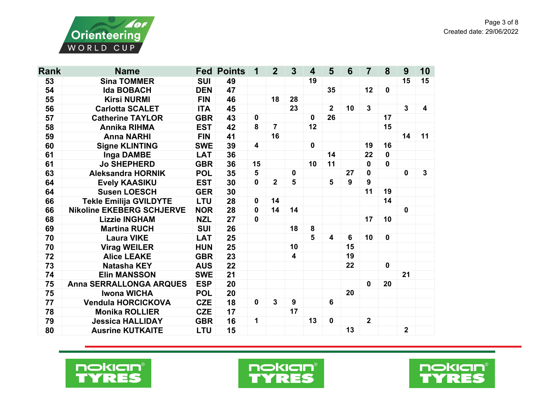

| <b>Rank</b> | <b>Name</b>                                 |            | <b>Fed Points</b> | 1            | $\overline{2}$ | $\overline{3}$          | $\overline{\mathbf{4}}$ | 5              | $6\phantom{1}6$ | $\overline{7}$ | 8            | 9              | 10                      |
|-------------|---------------------------------------------|------------|-------------------|--------------|----------------|-------------------------|-------------------------|----------------|-----------------|----------------|--------------|----------------|-------------------------|
| 53          | <b>Sina TOMMER</b>                          | <b>SUI</b> | 49                |              |                |                         | 19                      |                |                 |                |              | 15             | 15                      |
| 54          | <b>Ida BOBACH</b>                           | <b>DEN</b> | 47                |              |                |                         |                         | 35             |                 | 12             | $\mathbf 0$  |                |                         |
| 55          | <b>Kirsi NURMI</b>                          | <b>FIN</b> | 46                |              | 18             | 28                      |                         |                |                 |                |              |                |                         |
| 56          | <b>Carlotta SCALET</b>                      | <b>ITA</b> | 45                |              |                | 23                      |                         | $\overline{2}$ | 10              | $\mathbf{3}$   |              | $\mathbf{3}$   | $\overline{\mathbf{4}}$ |
| 57          | <b>Catherine TAYLOR</b><br><b>GBR</b>       |            | 43                | $\mathbf 0$  |                |                         | $\bf{0}$                | 26             |                 |                | 17           |                |                         |
| 58          | <b>Annika RIHMA</b>                         | <b>EST</b> | 42                | 8            | $\overline{7}$ |                         | 12                      |                |                 |                | 15           |                |                         |
| 59          | <b>Anna NARHI</b>                           | <b>FIN</b> | 41                |              | 16             |                         |                         |                |                 |                |              | 14             | 11                      |
| 60          | <b>Signe KLINTING</b>                       | <b>SWE</b> | 39                | 4            |                |                         | $\mathbf 0$             |                |                 | 19             | 16           |                |                         |
| 61          | Inga DAMBE                                  | <b>LAT</b> | 36                |              |                |                         |                         | 14             |                 | 22             | $\mathbf 0$  |                |                         |
| 61          | <b>Jo SHEPHERD</b>                          | <b>GBR</b> | 36                | 15           |                |                         | 10                      | 11             |                 | $\mathbf 0$    | $\mathbf{0}$ |                |                         |
| 63          | <b>Aleksandra HORNIK</b>                    | <b>POL</b> | 35                | 5            |                | $\mathbf 0$             |                         |                | 27              | $\mathbf 0$    |              | $\mathbf 0$    | 3                       |
| 64          | <b>Evely KAASIKU</b>                        | <b>EST</b> | 30                | $\mathbf 0$  | $\overline{2}$ | 5                       |                         | 5              | 9               | 9              |              |                |                         |
| 64          | <b>Susen LOESCH</b><br><b>GER</b>           |            | 30                |              |                |                         |                         |                |                 | 11             | 19           |                |                         |
| 66          | <b>Tekle Emilija GVILDYTE</b><br><b>LTU</b> |            | 28                | $\mathbf 0$  | 14             |                         |                         |                |                 |                | 14           |                |                         |
| 66          | <b>Nikoline EKEBERG SCHJERVE</b>            | <b>NOR</b> | 28                | $\mathbf{0}$ | 14             | 14                      |                         |                |                 |                |              | $\mathbf 0$    |                         |
| 68          | <b>Lizzie INGHAM</b>                        | <b>NZL</b> | 27                | $\mathbf 0$  |                |                         |                         |                |                 | 17             | 10           |                |                         |
| 69          | <b>Martina RUCH</b>                         | <b>SUI</b> | 26                |              |                | 18                      | 8                       |                |                 |                |              |                |                         |
| 70          | <b>Laura VIKE</b>                           | <b>LAT</b> | 25                |              |                |                         | 5                       | 4              | 6               | 10             | $\mathbf 0$  |                |                         |
| 70          | <b>Virag WEILER</b>                         | <b>HUN</b> | 25                |              |                | 10                      |                         |                | 15              |                |              |                |                         |
| 72          | <b>Alice LEAKE</b>                          | <b>GBR</b> | 23                |              |                | $\overline{\mathbf{4}}$ |                         |                | 19              |                |              |                |                         |
| 73          | <b>Natasha KEY</b>                          | <b>AUS</b> | 22                |              |                |                         |                         |                | 22              |                | $\mathbf 0$  |                |                         |
| 74          | <b>Elin MANSSON</b>                         | <b>SWE</b> | 21                |              |                |                         |                         |                |                 |                |              | 21             |                         |
| 75          | <b>Anna SERRALLONGA ARQUES</b>              | <b>ESP</b> | 20                |              |                |                         |                         |                |                 | $\mathbf 0$    | 20           |                |                         |
| 75          | <b>Iwona WICHA</b>                          | <b>POL</b> | 20                |              |                |                         |                         |                | 20              |                |              |                |                         |
| 77          | <b>Vendula HORCICKOVA</b>                   | <b>CZE</b> | 18                | $\mathbf 0$  | $\mathbf{3}$   | 9                       |                         | 6              |                 |                |              |                |                         |
| 78          | <b>Monika ROLLIER</b>                       | <b>CZE</b> | 17                |              |                | 17                      |                         |                |                 |                |              |                |                         |
| 79          | <b>Jessica HALLIDAY</b>                     | <b>GBR</b> | 16                | 1            |                |                         | 13                      | $\mathbf 0$    |                 | $\overline{2}$ |              |                |                         |
| 80          | <b>Ausrine KUTKAITE</b>                     | <b>LTU</b> | 15                |              |                |                         |                         |                | 13              |                |              | $\overline{2}$ |                         |





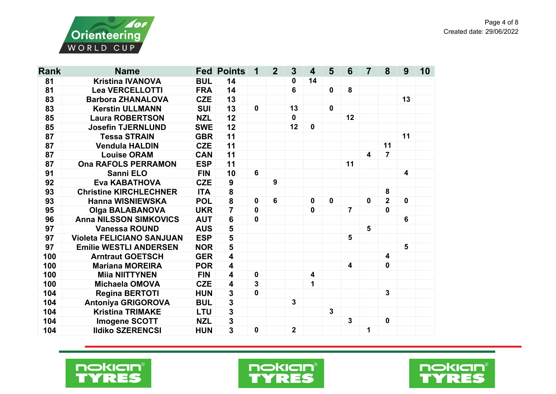



| <b>Rank</b> | <b>Name</b>                      |            | <b>Fed Points</b>       | 1            | $\overline{2}$  | $\mathbf{3}$   | $\overline{\mathbf{4}}$ | 5            | 6              | $\overline{7}$ | 8                       | 9           | 10 |
|-------------|----------------------------------|------------|-------------------------|--------------|-----------------|----------------|-------------------------|--------------|----------------|----------------|-------------------------|-------------|----|
| 81          | <b>Kristina IVANOVA</b>          | <b>BUL</b> | 14                      |              |                 | 0              | 14                      |              |                |                |                         |             |    |
| 81          | <b>Lea VERCELLOTTI</b>           | <b>FRA</b> | 14                      |              |                 | 6              |                         | $\mathbf 0$  | 8              |                |                         |             |    |
| 83          | <b>Barbora ZHANALOVA</b>         |            | 13                      |              |                 |                |                         |              |                |                |                         | 13          |    |
| 83          | <b>Kerstin ULLMANN</b>           |            | 13                      | $\mathbf{0}$ |                 | 13             |                         | $\mathbf 0$  |                |                |                         |             |    |
| 85          | <b>Laura ROBERTSON</b>           | <b>NZL</b> | 12                      |              |                 | $\mathbf 0$    |                         |              | 12             |                |                         |             |    |
| 85          | <b>Josefin TJERNLUND</b>         | <b>SWE</b> | 12                      |              |                 | 12             | $\mathbf 0$             |              |                |                |                         |             |    |
| 87          | <b>Tessa STRAIN</b>              | <b>GBR</b> | 11                      |              |                 |                |                         |              |                |                |                         | 11          |    |
| 87          | <b>Vendula HALDIN</b>            | <b>CZE</b> | 11                      |              |                 |                |                         |              |                |                | 11                      |             |    |
| 87          | <b>Louise ORAM</b>               | <b>CAN</b> | 11                      |              |                 |                |                         |              |                | 4              | $\overline{7}$          |             |    |
| 87          | <b>Ona RAFOLS PERRAMON</b>       | <b>ESP</b> | 11                      |              |                 |                |                         |              | 11             |                |                         |             |    |
| 91          | Sanni ELO                        | <b>FIN</b> | 10                      | 6            |                 |                |                         |              |                |                |                         | 4           |    |
| 92          | <b>Eva KABATHOVA</b>             | <b>CZE</b> | $\boldsymbol{9}$        |              | 9               |                |                         |              |                |                |                         |             |    |
| 93          | <b>Christine KIRCHLECHNER</b>    | <b>ITA</b> | 8                       |              |                 |                |                         |              |                |                | 8                       |             |    |
| 93          | <b>Hanna WISNIEWSKA</b>          | <b>POL</b> | $\overline{\mathbf{8}}$ | $\mathbf 0$  | $6\phantom{1}6$ |                | $\mathbf 0$             | $\mathbf 0$  |                | $\mathbf 0$    | $\overline{2}$          | $\mathbf 0$ |    |
| 95          | <b>Olga BALABANOVA</b>           | <b>UKR</b> | $\overline{7}$          | $\mathbf 0$  |                 |                | $\mathbf 0$             |              | $\overline{7}$ |                | $\mathbf 0$             |             |    |
| 96          | <b>Anna NILSSON SIMKOVICS</b>    | <b>AUT</b> | $6\phantom{1}$          | $\mathbf{0}$ |                 |                |                         |              |                |                |                         | 6           |    |
| 97          | <b>Vanessa ROUND</b>             | <b>AUS</b> | 5                       |              |                 |                |                         |              |                | 5              |                         |             |    |
| 97          | <b>Violeta FELICIANO SANJUAN</b> | <b>ESP</b> | $\overline{\mathbf{5}}$ |              |                 |                |                         |              | $5\phantom{1}$ |                |                         |             |    |
| 97          | <b>Emilie WESTLI ANDERSEN</b>    | <b>NOR</b> | 5                       |              |                 |                |                         |              |                |                |                         | 5           |    |
| 100         | <b>Arntraut GOETSCH</b>          | <b>GER</b> | $\overline{\mathbf{4}}$ |              |                 |                |                         |              |                |                | $\overline{\mathbf{4}}$ |             |    |
| 100         | <b>Mariana MOREIRA</b>           | <b>POR</b> | $\overline{\mathbf{4}}$ |              |                 |                |                         |              | 4              |                | $\mathbf 0$             |             |    |
| 100         | <b>Miia NIITTYNEN</b>            | <b>FIN</b> | $\overline{\mathbf{4}}$ | $\mathbf 0$  |                 |                | $\overline{\mathbf{4}}$ |              |                |                |                         |             |    |
| 100         | <b>Michaela OMOVA</b>            | <b>CZE</b> | $\overline{\mathbf{4}}$ | $\mathbf{3}$ |                 |                | 1                       |              |                |                |                         |             |    |
| 104         | <b>Regina BERTOTI</b>            | <b>HUN</b> | $\mathbf 3$             | 0            |                 |                |                         |              |                |                | $\mathbf{3}$            |             |    |
| 104         | <b>Antoniya GRIGOROVA</b>        | <b>BUL</b> | $\frac{3}{3}$           |              |                 | $\mathbf 3$    |                         |              |                |                |                         |             |    |
| 104         | <b>Kristina TRIMAKE</b>          | <b>LTU</b> |                         |              |                 |                |                         | $\mathbf{3}$ |                |                |                         |             |    |
| 104         | <b>Imogene SCOTT</b>             | <b>NZL</b> | $\overline{\mathbf{3}}$ |              |                 |                |                         |              | $\mathbf{3}$   |                | $\mathbf 0$             |             |    |
| 104         | <b>Ildiko SZERENCSI</b>          | <b>HUN</b> | $\overline{\mathbf{3}}$ | 0            |                 | $\overline{2}$ |                         |              |                | 1              |                         |             |    |





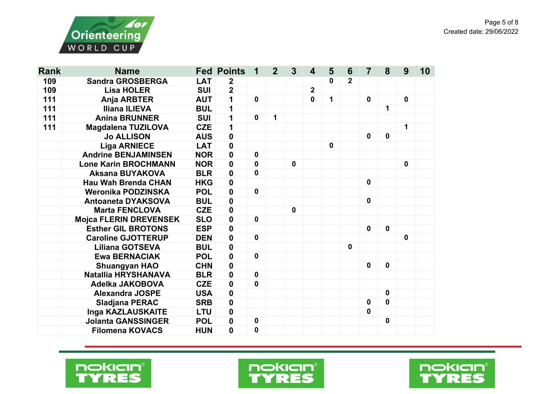



| <b>Rank</b> | <b>Name</b>                        |            | <b>Fed Points</b> | 1           | $\overline{2}$ | $\mathbf{3}$ | $\boldsymbol{4}$ | 5           | 6              | $\overline{7}$ | 8           | 9            | 10 |
|-------------|------------------------------------|------------|-------------------|-------------|----------------|--------------|------------------|-------------|----------------|----------------|-------------|--------------|----|
| 109         | <b>Sandra GROSBERGA</b>            | <b>LAT</b> | $\boldsymbol{2}$  |             |                |              |                  | 0           | $\overline{2}$ |                |             |              |    |
| 109         | <b>Lisa HOLER</b>                  | <b>SUI</b> | $\overline{2}$    |             |                |              | $\overline{2}$   |             |                |                |             |              |    |
| 111         | <b>Anja ARBTER</b><br><b>AUT</b>   |            | 1                 | $\mathbf 0$ |                |              | 0                | 1           |                | $\mathbf{0}$   |             | $\mathbf{0}$ |    |
| 111         | <b>Iliana ILIEVA</b><br><b>BUL</b> |            | 1                 |             |                |              |                  |             |                |                | 1           |              |    |
| 111         | <b>Anina BRUNNER</b>               | <b>SUI</b> | 1                 | $\mathbf 0$ | 1              |              |                  |             |                |                |             |              |    |
| 111         | <b>Magdalena TUZILOVA</b>          | <b>CZE</b> | 1                 |             |                |              |                  |             |                |                |             | 1            |    |
|             | <b>Jo ALLISON</b>                  | <b>AUS</b> | $\pmb{0}$         |             |                |              |                  |             |                | $\mathbf 0$    | $\mathbf 0$ |              |    |
|             | <b>Liga ARNIECE</b>                | <b>LAT</b> | $\mathbf 0$       |             |                |              |                  | $\mathbf 0$ |                |                |             |              |    |
|             | <b>Andrine BENJAMINSEN</b>         | <b>NOR</b> | $\mathbf 0$       | $\mathbf 0$ |                |              |                  |             |                |                |             |              |    |
|             | <b>Lone Karin BROCHMANN</b>        | <b>NOR</b> | $\mathbf 0$       | $\mathbf 0$ |                | $\mathbf 0$  |                  |             |                |                |             | $\mathbf 0$  |    |
|             | <b>Aksana BUYAKOVA</b>             | <b>BLR</b> | $\mathbf 0$       | 0           |                |              |                  |             |                |                |             |              |    |
|             | <b>Hau Wah Brenda CHAN</b>         | <b>HKG</b> | $\mathbf 0$       |             |                |              |                  |             |                | $\mathbf 0$    |             |              |    |
|             | Weronika PODZINSKA                 | <b>POL</b> | $\mathbf 0$       | $\mathbf 0$ |                |              |                  |             |                |                |             |              |    |
|             | <b>Antoaneta DYAKSOVA</b>          | <b>BUL</b> | $\mathbf 0$       |             |                |              |                  |             |                | $\mathbf 0$    |             |              |    |
|             | <b>Marta FENCLOVA</b>              | <b>CZE</b> | $\mathbf 0$       |             |                | $\mathbf 0$  |                  |             |                |                |             |              |    |
|             | <b>Mojca FLERIN DREVENSEK</b>      | <b>SLO</b> | $\mathbf 0$       | $\mathbf 0$ |                |              |                  |             |                |                |             |              |    |
|             | <b>Esther GIL BROTONS</b>          | <b>ESP</b> | $\mathbf 0$       |             |                |              |                  |             |                | $\mathbf 0$    | $\mathbf 0$ |              |    |
|             | <b>Caroline GJOTTERUP</b>          | <b>DEN</b> | $\boldsymbol{0}$  | $\mathbf 0$ |                |              |                  |             |                |                |             | $\mathbf 0$  |    |
|             | <b>Liliana GOTSEVA</b>             | <b>BUL</b> | $\boldsymbol{0}$  |             |                |              |                  |             | 0              |                |             |              |    |
|             | <b>Ewa BERNACIAK</b>               | <b>POL</b> | $\mathbf 0$       | $\mathbf 0$ |                |              |                  |             |                |                |             |              |    |
|             | <b>Shuangyan HAO</b>               | <b>CHN</b> | $\mathbf 0$       |             |                |              |                  |             |                | $\mathbf 0$    | $\mathbf 0$ |              |    |
|             | Natallia HRYSHANAVA                | <b>BLR</b> | $\mathbf 0$       | $\mathbf 0$ |                |              |                  |             |                |                |             |              |    |
|             | <b>Adelka JAKOBOVA</b>             | <b>CZE</b> | $\mathbf 0$       | $\mathbf 0$ |                |              |                  |             |                |                |             |              |    |
|             | <b>Alexandra JOSPE</b>             | <b>USA</b> | $\mathbf 0$       |             |                |              |                  |             |                |                | $\mathbf 0$ |              |    |
|             | Sladjana PERAC                     | <b>SRB</b> | $\pmb{0}$         |             |                |              |                  |             |                | 0              | $\mathbf 0$ |              |    |
|             | Inga KAZLAUSKAITE                  | <b>LTU</b> | $\mathbf 0$       |             |                |              |                  |             |                | 0              |             |              |    |
|             | <b>Jolanta GANSSINGER</b>          | <b>POL</b> | $\mathbf 0$       | 0           |                |              |                  |             |                |                | $\mathbf 0$ |              |    |
|             | <b>Filomena KOVACS</b>             | <b>HUN</b> | $\mathbf 0$       | 0           |                |              |                  |             |                |                |             |              |    |





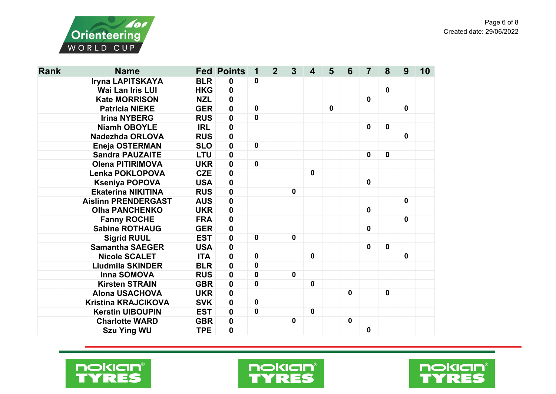

| <b>Rank</b> | <b>Name</b>                |            | <b>Fed Points</b> | 1           | $\overline{2}$ | $\mathbf{3}$ | 4           | 5           | 6           | 7            | 8           | 9           | 10 |
|-------------|----------------------------|------------|-------------------|-------------|----------------|--------------|-------------|-------------|-------------|--------------|-------------|-------------|----|
|             | Iryna LAPITSKAYA           | <b>BLR</b> | 0                 | 0           |                |              |             |             |             |              |             |             |    |
|             | <b>Wai Lan Iris LUI</b>    | <b>HKG</b> | 0                 |             |                |              |             |             |             |              | $\mathbf 0$ |             |    |
|             | <b>Kate MORRISON</b>       | <b>NZL</b> | 0                 |             |                |              |             |             |             | $\mathbf 0$  |             |             |    |
|             | <b>Patricia NIEKE</b>      | <b>GER</b> | $\mathbf 0$       | $\mathbf 0$ |                |              |             | $\mathbf 0$ |             |              |             | $\mathbf 0$ |    |
|             | <b>Irina NYBERG</b>        | <b>RUS</b> | 0                 | $\mathbf 0$ |                |              |             |             |             |              |             |             |    |
|             | <b>Niamh OBOYLE</b>        | <b>IRL</b> | 0                 |             |                |              |             |             |             | $\mathbf 0$  | $\mathbf 0$ |             |    |
|             | Nadezhda ORLOVA            | <b>RUS</b> | 0                 |             |                |              |             |             |             |              |             | $\mathbf 0$ |    |
|             | <b>Eneja OSTERMAN</b>      | <b>SLO</b> | $\mathbf 0$       | $\mathbf 0$ |                |              |             |             |             |              |             |             |    |
|             | <b>Sandra PAUZAITE</b>     | <b>LTU</b> | 0                 |             |                |              |             |             |             | $\mathbf 0$  | $\mathbf 0$ |             |    |
|             | <b>Olena PITIRIMOVA</b>    | <b>UKR</b> | 0                 | $\mathbf 0$ |                |              |             |             |             |              |             |             |    |
|             | <b>Lenka POKLOPOVA</b>     | <b>CZE</b> | 0                 |             |                |              | $\mathbf 0$ |             |             |              |             |             |    |
|             | <b>Kseniya POPOVA</b>      | <b>USA</b> | $\mathbf 0$       |             |                |              |             |             |             | $\mathbf 0$  |             |             |    |
|             | <b>Ekaterina NIKITINA</b>  | <b>RUS</b> | 0                 |             |                | $\mathbf 0$  |             |             |             |              |             |             |    |
|             | <b>Aislinn PRENDERGAST</b> | <b>AUS</b> | 0                 |             |                |              |             |             |             |              |             | $\mathbf 0$ |    |
|             | <b>Olha PANCHENKO</b>      | <b>UKR</b> | 0                 |             |                |              |             |             |             | $\mathbf{0}$ |             |             |    |
|             | <b>Fanny ROCHE</b>         | <b>FRA</b> | 0                 |             |                |              |             |             |             |              |             | $\mathbf 0$ |    |
|             | <b>Sabine ROTHAUG</b>      | <b>GER</b> | 0                 |             |                |              |             |             |             | $\mathbf 0$  |             |             |    |
|             | <b>Sigrid RUUL</b>         | <b>EST</b> | $\mathbf 0$       | $\mathbf 0$ |                | $\mathbf 0$  |             |             |             |              |             |             |    |
|             | <b>Samantha SAEGER</b>     | <b>USA</b> | 0                 |             |                |              |             |             |             | $\mathbf 0$  | $\mathbf 0$ |             |    |
|             | <b>Nicole SCALET</b>       | <b>ITA</b> | 0                 | $\mathbf 0$ |                |              | $\mathbf 0$ |             |             |              |             | $\mathbf 0$ |    |
|             | <b>Liudmila SKINDER</b>    | <b>BLR</b> | 0                 | 0           |                |              |             |             |             |              |             |             |    |
|             | Inna SOMOVA                | <b>RUS</b> | 0                 | 0           |                | $\mathbf 0$  |             |             |             |              |             |             |    |
|             | <b>Kirsten STRAIN</b>      | <b>GBR</b> | 0                 | 0           |                |              | $\mathbf 0$ |             |             |              |             |             |    |
|             | <b>Alona USACHOVA</b>      | <b>UKR</b> | 0                 |             |                |              |             |             | $\mathbf 0$ |              | $\mathbf 0$ |             |    |
|             | <b>Kristina KRAJCIKOVA</b> | <b>SVK</b> | $\mathbf 0$       | $\mathbf 0$ |                |              |             |             |             |              |             |             |    |
|             | <b>Kerstin UIBOUPIN</b>    | <b>EST</b> | $\mathbf 0$       | $\mathbf 0$ |                |              | $\mathbf 0$ |             |             |              |             |             |    |
|             | <b>Charlotte WARD</b>      | <b>GBR</b> | 0                 |             |                | 0            |             |             | $\mathbf 0$ |              |             |             |    |
|             | <b>Szu Ying WU</b>         | <b>TPE</b> | 0                 |             |                |              |             |             |             | $\mathbf 0$  |             |             |    |





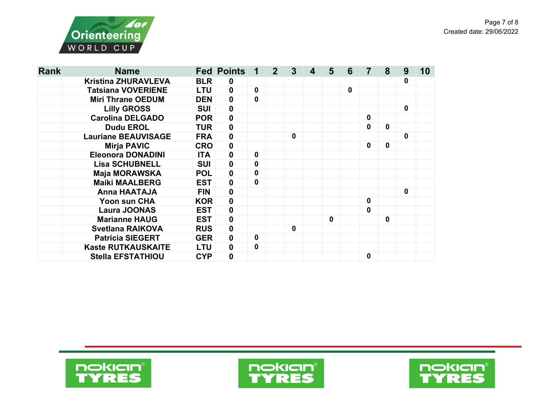

| <b>Rank</b> | <b>Name</b>                |            | <b>Fed Points</b> |             | $\mathbf{2}$ | 3           | 5 | 6            | 7           | 8            | 9 | 10 |
|-------------|----------------------------|------------|-------------------|-------------|--------------|-------------|---|--------------|-------------|--------------|---|----|
|             | <b>Kristina ZHURAVLEVA</b> | <b>BLR</b> | $\mathbf 0$       |             |              |             |   |              |             |              | 0 |    |
|             | <b>Tatsiana VOVERIENE</b>  | <b>LTU</b> | $\mathbf 0$       | $\mathbf 0$ |              |             |   | $\mathbf{0}$ |             |              |   |    |
|             | <b>Miri Thrane OEDUM</b>   | <b>DEN</b> | $\mathbf 0$       | $\mathbf 0$ |              |             |   |              |             |              |   |    |
|             | <b>Lilly GROSS</b>         | <b>SUI</b> | $\pmb{0}$         |             |              |             |   |              |             |              | 0 |    |
|             | <b>Carolina DELGADO</b>    | <b>POR</b> | $\boldsymbol{0}$  |             |              |             |   |              | 0           |              |   |    |
|             | <b>Dudu EROL</b>           | <b>TUR</b> | $\pmb{0}$         |             |              |             |   |              | 0           | $\mathbf 0$  |   |    |
|             | <b>Lauriane BEAUVISAGE</b> | <b>FRA</b> | $\boldsymbol{0}$  |             |              | $\mathbf 0$ |   |              |             |              | 0 |    |
|             | <b>Mirja PAVIC</b>         | <b>CRO</b> | $\pmb{0}$         |             |              |             |   |              | 0           | $\mathbf 0$  |   |    |
|             | <b>Eleonora DONADINI</b>   | <b>ITA</b> | $\pmb{0}$         | $\mathbf 0$ |              |             |   |              |             |              |   |    |
|             | <b>Lisa SCHUBNELL</b>      | <b>SUI</b> | $\pmb{0}$         | $\mathbf 0$ |              |             |   |              |             |              |   |    |
|             | <b>Maja MORAWSKA</b>       | <b>POL</b> | $\mathbf 0$       | 0           |              |             |   |              |             |              |   |    |
|             | <b>Maiki MAALBERG</b>      | <b>EST</b> | $\mathbf 0$       | $\mathbf 0$ |              |             |   |              |             |              |   |    |
|             | <b>Anna HAATAJA</b>        | <b>FIN</b> | $\boldsymbol{0}$  |             |              |             |   |              |             |              | 0 |    |
|             | Yoon sun CHA               | <b>KOR</b> | $\boldsymbol{0}$  |             |              |             |   |              | 0           |              |   |    |
|             | <b>Laura JOONAS</b>        | <b>EST</b> | $\mathbf 0$       |             |              |             |   |              | 0           |              |   |    |
|             | <b>Marianne HAUG</b>       | <b>EST</b> | $\boldsymbol{0}$  |             |              |             | 0 |              |             | $\mathbf{0}$ |   |    |
|             | <b>Svetlana RAIKOVA</b>    | <b>RUS</b> | $\boldsymbol{0}$  |             |              | $\mathbf 0$ |   |              |             |              |   |    |
|             | <b>Patricia SIEGERT</b>    | <b>GER</b> | $\boldsymbol{0}$  | $\mathbf 0$ |              |             |   |              |             |              |   |    |
|             | <b>Kaste RUTKAUSKAITE</b>  | <b>LTU</b> | $\boldsymbol{0}$  | $\mathbf 0$ |              |             |   |              |             |              |   |    |
|             | <b>Stella EFSTATHIOU</b>   | <b>CYP</b> | $\mathbf 0$       |             |              |             |   |              | $\mathbf 0$ |              |   |    |